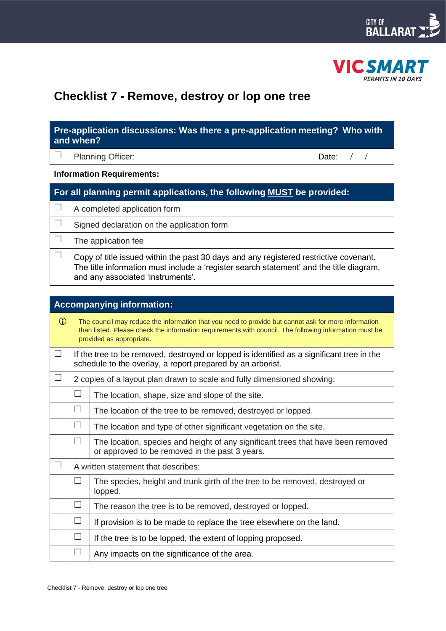



# **Checklist 7 - Remove, destroy or lop one tree**

| Pre-application discussions: Was there a pre-application meeting? Who with |  |
|----------------------------------------------------------------------------|--|
| and when?                                                                  |  |
|                                                                            |  |

|  | $\Box$ Planning Officer: |  |
|--|--------------------------|--|
|--|--------------------------|--|

Date: / /

## **Information Requirements:**

| For all planning permit applications, the following MUST be provided: |                                                                                                                                                                                                                       |  |  |
|-----------------------------------------------------------------------|-----------------------------------------------------------------------------------------------------------------------------------------------------------------------------------------------------------------------|--|--|
|                                                                       | A completed application form                                                                                                                                                                                          |  |  |
|                                                                       | Signed declaration on the application form                                                                                                                                                                            |  |  |
|                                                                       | The application fee                                                                                                                                                                                                   |  |  |
|                                                                       | Copy of title issued within the past 30 days and any registered restrictive covenant.<br>The title information must include a 'register search statement' and the title diagram,<br>and any associated 'instruments'. |  |  |

| <b>Accompanying information:</b> |        |                                                                                                                                                                                                                                           |  |  |
|----------------------------------|--------|-------------------------------------------------------------------------------------------------------------------------------------------------------------------------------------------------------------------------------------------|--|--|
| $\mathbf{D}$                     |        | The council may reduce the information that you need to provide but cannot ask for more information<br>than listed. Please check the information requirements with council. The following information must be<br>provided as appropriate. |  |  |
| $\Box$                           |        | If the tree to be removed, destroyed or lopped is identified as a significant tree in the<br>schedule to the overlay, a report prepared by an arborist.                                                                                   |  |  |
|                                  |        | 2 copies of a layout plan drawn to scale and fully dimensioned showing:                                                                                                                                                                   |  |  |
|                                  | $\Box$ | The location, shape, size and slope of the site.                                                                                                                                                                                          |  |  |
|                                  | $\Box$ | The location of the tree to be removed, destroyed or lopped.                                                                                                                                                                              |  |  |
|                                  | ⊔      | The location and type of other significant vegetation on the site.                                                                                                                                                                        |  |  |
|                                  | П      | The location, species and height of any significant trees that have been removed<br>or approved to be removed in the past 3 years.                                                                                                        |  |  |
|                                  |        | A written statement that describes:                                                                                                                                                                                                       |  |  |
|                                  | $\Box$ | The species, height and trunk girth of the tree to be removed, destroyed or<br>lopped.                                                                                                                                                    |  |  |
|                                  | П      | The reason the tree is to be removed, destroyed or lopped.                                                                                                                                                                                |  |  |
|                                  | $\Box$ | If provision is to be made to replace the tree elsewhere on the land.                                                                                                                                                                     |  |  |
|                                  | $\Box$ | If the tree is to be lopped, the extent of lopping proposed.                                                                                                                                                                              |  |  |
|                                  |        | Any impacts on the significance of the area.                                                                                                                                                                                              |  |  |